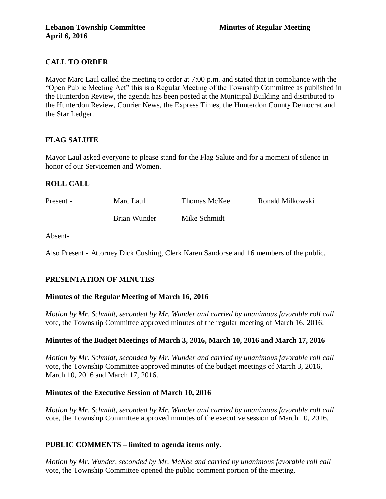# **CALL TO ORDER**

Mayor Marc Laul called the meeting to order at 7:00 p.m. and stated that in compliance with the "Open Public Meeting Act" this is a Regular Meeting of the Township Committee as published in the Hunterdon Review, the agenda has been posted at the Municipal Building and distributed to the Hunterdon Review, Courier News, the Express Times, the Hunterdon County Democrat and the Star Ledger.

# **FLAG SALUTE**

Mayor Laul asked everyone to please stand for the Flag Salute and for a moment of silence in honor of our Servicemen and Women.

# **ROLL CALL**

| Present - | Marc Laul    | Thomas McKee | Ronald Milkowski |
|-----------|--------------|--------------|------------------|
|           | Brian Wunder | Mike Schmidt |                  |

Absent-

Also Present - Attorney Dick Cushing, Clerk Karen Sandorse and 16 members of the public.

# **PRESENTATION OF MINUTES**

# **Minutes of the Regular Meeting of March 16, 2016**

*Motion by Mr. Schmidt, seconded by Mr. Wunder and carried by unanimous favorable roll call*  vote, the Township Committee approved minutes of the regular meeting of March 16, 2016.

# **Minutes of the Budget Meetings of March 3, 2016, March 10, 2016 and March 17, 2016**

*Motion by Mr. Schmidt, seconded by Mr. Wunder and carried by unanimous favorable roll call*  vote, the Township Committee approved minutes of the budget meetings of March 3, 2016, March 10, 2016 and March 17, 2016.

# **Minutes of the Executive Session of March 10, 2016**

*Motion by Mr. Schmidt, seconded by Mr. Wunder and carried by unanimous favorable roll call*  vote, the Township Committee approved minutes of the executive session of March 10, 2016.

# **PUBLIC COMMENTS – limited to agenda items only.**

*Motion by Mr. Wunder, seconded by Mr. McKee and carried by unanimous favorable roll call*  vote, the Township Committee opened the public comment portion of the meeting.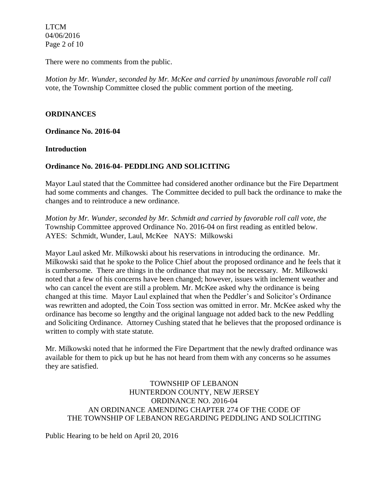LTCM 04/06/2016 Page 2 of 10

There were no comments from the public.

*Motion by Mr. Wunder, seconded by Mr. McKee and carried by unanimous favorable roll call*  vote, the Township Committee closed the public comment portion of the meeting.

## **ORDINANCES**

**Ordinance No. 2016-04**

#### **Introduction**

### **Ordinance No. 2016-04- PEDDLING AND SOLICITING**

Mayor Laul stated that the Committee had considered another ordinance but the Fire Department had some comments and changes. The Committee decided to pull back the ordinance to make the changes and to reintroduce a new ordinance.

*Motion by Mr. Wunder, seconded by Mr. Schmidt and carried by favorable roll call vote*, *the*  Township Committee approved Ordinance No. 2016-04 on first reading as entitled below. AYES: Schmidt, Wunder, Laul, McKee NAYS: Milkowski

Mayor Laul asked Mr. Milkowski about his reservations in introducing the ordinance. Mr. Milkowski said that he spoke to the Police Chief about the proposed ordinance and he feels that it is cumbersome. There are things in the ordinance that may not be necessary. Mr. Milkowski noted that a few of his concerns have been changed; however, issues with inclement weather and who can cancel the event are still a problem. Mr. McKee asked why the ordinance is being changed at this time. Mayor Laul explained that when the Peddler's and Solicitor's Ordinance was rewritten and adopted, the Coin Toss section was omitted in error. Mr. McKee asked why the ordinance has become so lengthy and the original language not added back to the new Peddling and Soliciting Ordinance. Attorney Cushing stated that he believes that the proposed ordinance is written to comply with state statute.

Mr. Milkowski noted that he informed the Fire Department that the newly drafted ordinance was available for them to pick up but he has not heard from them with any concerns so he assumes they are satisfied.

TOWNSHIP OF LEBANON HUNTERDON COUNTY, NEW JERSEY ORDINANCE NO. 2016-04 AN ORDINANCE AMENDING CHAPTER 274 OF THE CODE OF THE TOWNSHIP OF LEBANON REGARDING PEDDLING AND SOLICITING

Public Hearing to be held on April 20, 2016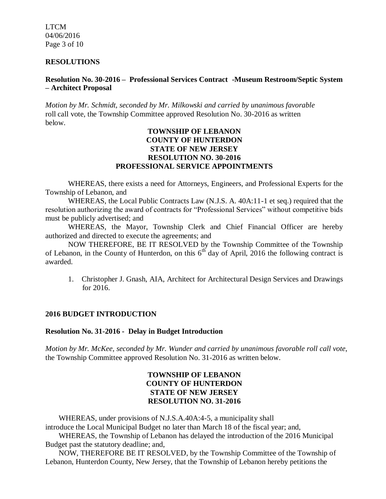LTCM 04/06/2016 Page 3 of 10

#### **RESOLUTIONS**

### **Resolution No. 30-2016 – Professional Services Contract -Museum Restroom/Septic System – Architect Proposal**

*Motion by Mr. Schmidt, seconded by Mr. Milkowski and carried by unanimous favorable*  roll call vote, the Township Committee approved Resolution No. 30-2016 as written below.

## **TOWNSHIP OF LEBANON COUNTY OF HUNTERDON STATE OF NEW JERSEY RESOLUTION NO. 30-2016 PROFESSIONAL SERVICE APPOINTMENTS**

WHEREAS, there exists a need for Attorneys, Engineers, and Professional Experts for the Township of Lebanon, and

WHEREAS, the Local Public Contracts Law (N.J.S. A. 40A:11-1 et seq.) required that the resolution authorizing the award of contracts for "Professional Services" without competitive bids must be publicly advertised; and

WHEREAS, the Mayor, Township Clerk and Chief Financial Officer are hereby authorized and directed to execute the agreements; and

NOW THEREFORE, BE IT RESOLVED by the Township Committee of the Township of Lebanon, in the County of Hunterdon, on this  $6<sup>th</sup>$  day of April, 2016 the following contract is awarded.

1. Christopher J. Gnash, AIA, Architect for Architectural Design Services and Drawings for 2016.

#### **2016 BUDGET INTRODUCTION**

#### **Resolution No. 31-2016 - Delay in Budget Introduction**

*Motion by Mr. McKee, seconded by Mr. Wunder and carried by unanimous favorable roll call vote*, the Township Committee approved Resolution No. 31-2016 as written below.

## **TOWNSHIP OF LEBANON COUNTY OF HUNTERDON STATE OF NEW JERSEY RESOLUTION NO. 31-2016**

 WHEREAS, under provisions of N.J.S.A.40A:4-5, a municipality shall introduce the Local Municipal Budget no later than March 18 of the fiscal year; and,

 WHEREAS, the Township of Lebanon has delayed the introduction of the 2016 Municipal Budget past the statutory deadline; and,

 NOW, THEREFORE BE IT RESOLVED, by the Township Committee of the Township of Lebanon, Hunterdon County, New Jersey, that the Township of Lebanon hereby petitions the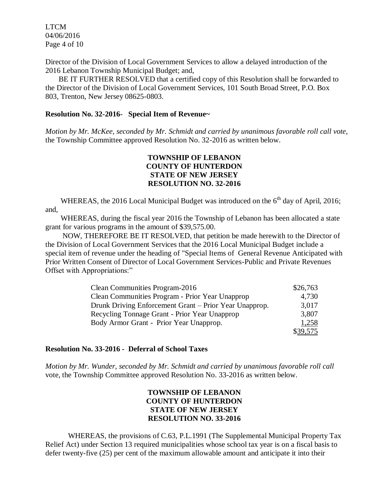LTCM 04/06/2016 Page 4 of 10

Director of the Division of Local Government Services to allow a delayed introduction of the 2016 Lebanon Township Municipal Budget; and,

 BE IT FURTHER RESOLVED that a certified copy of this Resolution shall be forwarded to the Director of the Division of Local Government Services, 101 South Broad Street, P.O. Box 803, Trenton, New Jersey 08625-0803.

#### **Resolution No. 32-2016- Special Item of Revenue~**

*Motion by Mr. McKee, seconded by Mr. Schmidt and carried by unanimous favorable roll call vote*, the Township Committee approved Resolution No. 32-2016 as written below.

## **TOWNSHIP OF LEBANON COUNTY OF HUNTERDON STATE OF NEW JERSEY RESOLUTION NO. 32-2016**

WHEREAS, the 2016 Local Municipal Budget was introduced on the  $6<sup>th</sup>$  day of April, 2016; and,

 WHEREAS, during the fiscal year 2016 the Township of Lebanon has been allocated a state grant for various programs in the amount of \$39,575.00.

 NOW, THEREFORE BE IT RESOLVED, that petition be made herewith to the Director of the Division of Local Government Services that the 2016 Local Municipal Budget include a special item of revenue under the heading of "Special Items of General Revenue Anticipated with Prior Written Consent of Director of Local Government Services-Public and Private Revenues Offset with Appropriations:"

| Clean Communities Program-2016                         | \$26,763 |
|--------------------------------------------------------|----------|
| Clean Communities Program - Prior Year Unapprop        | 4,730    |
| Drunk Driving Enforcement Grant – Prior Year Unapprop. | 3,017    |
| Recycling Tonnage Grant - Prior Year Unapprop          | 3,807    |
| Body Armor Grant - Prior Year Unapprop.                | 1,258    |
|                                                        | \$39,575 |

#### **Resolution No. 33-2016 - Deferral of School Taxes**

*Motion by Mr. Wunder, seconded by Mr. Schmidt and carried by unanimous favorable roll call*  vote, the Township Committee approved Resolution No. 33-2016 as written below.

## **TOWNSHIP OF LEBANON COUNTY OF HUNTERDON STATE OF NEW JERSEY RESOLUTION NO. 33-2016**

WHEREAS, the provisions of C.63, P.L.1991 (The Supplemental Municipal Property Tax Relief Act) under Section 13 required municipalities whose school tax year is on a fiscal basis to defer twenty-five (25) per cent of the maximum allowable amount and anticipate it into their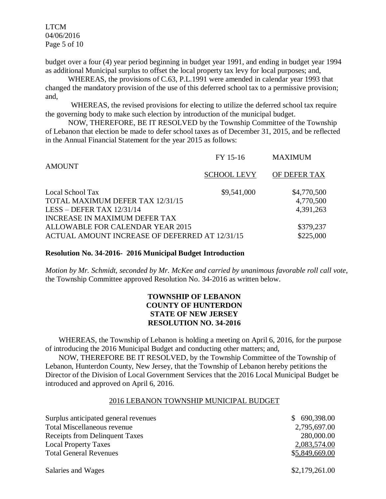LTCM 04/06/2016 Page 5 of 10

budget over a four (4) year period beginning in budget year 1991, and ending in budget year 1994 as additional Municipal surplus to offset the local property tax levy for local purposes; and,

WHEREAS, the provisions of C.63, P.L.1991 were amended in calendar year 1993 that changed the mandatory provision of the use of this deferred school tax to a permissive provision; and,

WHEREAS, the revised provisions for electing to utilize the deferred school tax require the governing body to make such election by introduction of the municipal budget.

NOW, THEREFORE, BE IT RESOLVED by the Township Committee of the Township of Lebanon that election be made to defer school taxes as of December 31, 2015, and be reflected in the Annual Financial Statement for the year 2015 as follows:

| <b>AMOUNT</b>                                  | FY 15-16           | <b>MAXIMUM</b> |
|------------------------------------------------|--------------------|----------------|
|                                                | <b>SCHOOL LEVY</b> | OF DEFER TAX   |
| Local School Tax                               | \$9,541,000        | \$4,770,500    |
| TOTAL MAXIMUM DEFER TAX 12/31/15               |                    | 4,770,500      |
| LESS - DEFER TAX $12/31/14$                    |                    | 4,391,263      |
| <b>INCREASE IN MAXIMUM DEFER TAX</b>           |                    |                |
| ALLOWABLE FOR CALENDAR YEAR 2015               | \$379,237          |                |
| ACTUAL AMOUNT INCREASE OF DEFERRED AT 12/31/15 |                    | \$225,000      |
|                                                |                    |                |

#### **Resolution No. 34-2016- 2016 Municipal Budget Introduction**

*Motion by Mr. Schmidt, seconded by Mr. McKee and carried by unanimous favorable roll call vote*, the Township Committee approved Resolution No. 34-2016 as written below.

# **TOWNSHIP OF LEBANON COUNTY OF HUNTERDON STATE OF NEW JERSEY RESOLUTION NO. 34-2016**

 WHEREAS, the Township of Lebanon is holding a meeting on April 6, 2016, for the purpose of introducing the 2016 Municipal Budget and conducting other matters; and,

 NOW, THEREFORE BE IT RESOLVED, by the Township Committee of the Township of Lebanon, Hunterdon County, New Jersey, that the Township of Lebanon hereby petitions the Director of the Division of Local Government Services that the 2016 Local Municipal Budget be introduced and approved on April 6, 2016.

### 2016 LEBANON TOWNSHIP MUNICIPAL BUDGET

| Surplus anticipated general revenues | \$ 690,398.00  |
|--------------------------------------|----------------|
| Total Miscellaneous revenue          | 2,795,697.00   |
| Receipts from Delinquent Taxes       | 280,000.00     |
| <b>Local Property Taxes</b>          | 2,083,574.00   |
| <b>Total General Revenues</b>        | \$5,849,669.00 |

\$2,179,261.00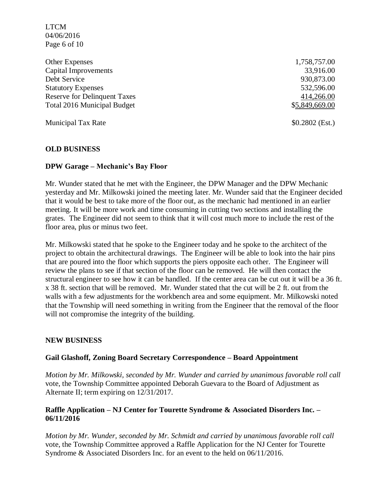LTCM 04/06/2016 Page 6 of 10

Other Expenses 1,758,757.00 Capital Improvements 33,916.00 Debt Service 930,873.00 Statutory Expenses 532,596.00 Reserve for Delinquent Taxes 414,266.00 Total 2016 Municipal Budget  $$5,849,669.00$ 

Municipal Tax Rate \$0.2802 (Est.)

### **OLD BUSINESS**

#### **DPW Garage – Mechanic's Bay Floor**

Mr. Wunder stated that he met with the Engineer, the DPW Manager and the DPW Mechanic yesterday and Mr. Milkowski joined the meeting later. Mr. Wunder said that the Engineer decided that it would be best to take more of the floor out, as the mechanic had mentioned in an earlier meeting. It will be more work and time consuming in cutting two sections and installing the grates. The Engineer did not seem to think that it will cost much more to include the rest of the floor area, plus or minus two feet.

Mr. Milkowski stated that he spoke to the Engineer today and he spoke to the architect of the project to obtain the architectural drawings. The Engineer will be able to look into the hair pins that are poured into the floor which supports the piers opposite each other. The Engineer will review the plans to see if that section of the floor can be removed. He will then contact the structural engineer to see how it can be handled. If the center area can be cut out it will be a 36 ft. x 38 ft. section that will be removed. Mr. Wunder stated that the cut will be 2 ft. out from the walls with a few adjustments for the workbench area and some equipment. Mr. Milkowski noted that the Township will need something in writing from the Engineer that the removal of the floor will not compromise the integrity of the building.

#### **NEW BUSINESS**

#### **Gail Glashoff, Zoning Board Secretary Correspondence – Board Appointment**

*Motion by Mr. Milkowski, seconded by Mr. Wunder and carried by unanimous favorable roll call* vote, the Township Committee appointed Deborah Guevara to the Board of Adjustment as Alternate II; term expiring on 12/31/2017.

### **Raffle Application – NJ Center for Tourette Syndrome & Associated Disorders Inc. – 06/11/2016**

*Motion by Mr. Wunder, seconded by Mr. Schmidt and carried by unanimous favorable roll call*  vote, the Township Committee approved a Raffle Application for the NJ Center for Tourette Syndrome & Associated Disorders Inc. for an event to the held on 06/11/2016.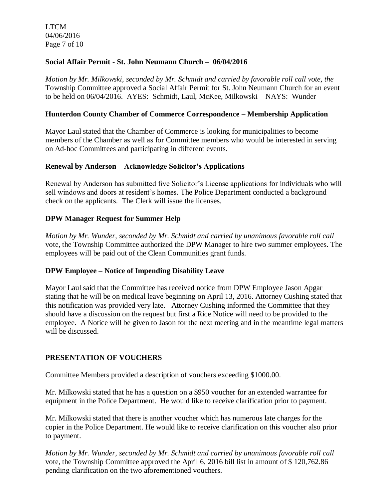LTCM 04/06/2016 Page 7 of 10

## **Social Affair Permit - St. John Neumann Church – 06/04/2016**

*Motion by Mr. Milkowski, seconded by Mr. Schmidt and carried by favorable roll call vote, the* Township Committee approved a Social Affair Permit for St. John Neumann Church for an event to be held on 06/04/2016. AYES: Schmidt, Laul, McKee, Milkowski NAYS: Wunder

## **Hunterdon County Chamber of Commerce Correspondence – Membership Application**

Mayor Laul stated that the Chamber of Commerce is looking for municipalities to become members of the Chamber as well as for Committee members who would be interested in serving on Ad-hoc Committees and participating in different events.

### **Renewal by Anderson – Acknowledge Solicitor's Applications**

Renewal by Anderson has submitted five Solicitor's License applications for individuals who will sell windows and doors at resident's homes. The Police Department conducted a background check on the applicants. The Clerk will issue the licenses.

## **DPW Manager Request for Summer Help**

*Motion by Mr. Wunder, seconded by Mr. Schmidt and carried by unanimous favorable roll call*  vote, the Township Committee authorized the DPW Manager to hire two summer employees. The employees will be paid out of the Clean Communities grant funds.

### **DPW Employee – Notice of Impending Disability Leave**

Mayor Laul said that the Committee has received notice from DPW Employee Jason Apgar stating that he will be on medical leave beginning on April 13, 2016. Attorney Cushing stated that this notification was provided very late. Attorney Cushing informed the Committee that they should have a discussion on the request but first a Rice Notice will need to be provided to the employee. A Notice will be given to Jason for the next meeting and in the meantime legal matters will be discussed.

### **PRESENTATION OF VOUCHERS**

Committee Members provided a description of vouchers exceeding \$1000.00.

Mr. Milkowski stated that he has a question on a \$950 voucher for an extended warrantee for equipment in the Police Department. He would like to receive clarification prior to payment.

Mr. Milkowski stated that there is another voucher which has numerous late charges for the copier in the Police Department. He would like to receive clarification on this voucher also prior to payment.

*Motion by Mr. Wunder, seconded by Mr. Schmidt and carried by unanimous favorable roll call*  vote, the Township Committee approved the April 6, 2016 bill list in amount of \$ 120,762.86 pending clarification on the two aforementioned vouchers.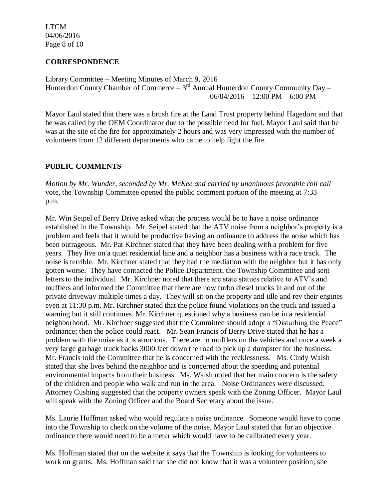LTCM 04/06/2016 Page 8 of 10

## **CORRESPONDENCE**

Library Committee – Meeting Minutes of March 9, 2016 Hunterdon County Chamber of Commerce  $-3^{rd}$  Annual Hunterdon County Community Day  $-$ 06/04/2016 – 12:00 PM – 6:00 PM

Mayor Laul stated that there was a brush fire at the Land Trust property behind Hagedorn and that he was called by the OEM Coordinator due to the possible need for fuel. Mayor Laul said that he was at the site of the fire for approximately 2 hours and was very impressed with the number of volunteers from 12 different departments who came to help fight the fire.

# **PUBLIC COMMENTS**

*Motion by Mr. Wunder, seconded by Mr. McKee and carried by unanimous favorable roll call* vote, the Township Committee opened the public comment portion of the meeting at 7:33 p.m.

Mr. Win Seipel of Berry Drive asked what the process would be to have a noise ordinance established in the Township. Mr. Seipel stated that the ATV noise from a neighbor's property is a problem and feels that it would be productive having an ordinance to address the noise which has been outrageous. Mr. Pat Kirchner stated that they have been dealing with a problem for five years. They live on a quiet residential lane and a neighbor has a business with a race track. The noise is terrible. Mr. Kirchner stated that they had the mediation with the neighbor but it has only gotten worse. They have contacted the Police Department, the Township Committee and sent letters to the individual. Mr. Kirchner noted that there are state statues relative to ATV's and mufflers and informed the Committee that there are now turbo diesel trucks in and out of the private driveway multiple times a day. They will sit on the property and idle and rev their engines even at 11:30 p.m. Mr. Kirchner stated that the police found violations on the truck and issued a warning but it still continues. Mr. Kirchner questioned why a business can be in a residential neighborhood. Mr. Kirchner suggested that the Committee should adopt a "Disturbing the Peace" ordinance; then the police could react. Mr. Sean Francis of Berry Drive stated that he has a problem with the noise as it is atrocious. There are no mufflers on the vehicles and once a week a very large garbage truck backs 3000 feet down the road to pick up a dumpster for the business. Mr. Francis told the Committee that he is concerned with the recklessness. Ms. Cindy Walsh stated that she lives behind the neighbor and is concerned about the speeding and potential environmental impacts from their business. Ms. Walsh noted that her main concern is the safety of the children and people who walk and run in the area. Noise Ordinances were discussed. Attorney Cushing suggested that the property owners speak with the Zoning Officer. Mayor Laul will speak with the Zoning Officer and the Board Secretary about the issue.

Ms. Laurie Hoffman asked who would regulate a noise ordinance. Someone would have to come into the Township to check on the volume of the noise. Mayor Laul stated that for an objective ordinance there would need to be a meter which would have to be calibrated every year.

Ms. Hoffman stated that on the website it says that the Township is looking for volunteers to work on grants. Ms. Hoffman said that she did not know that it was a volunteer position; she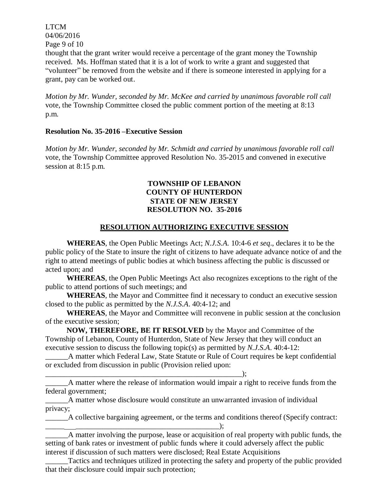LTCM 04/06/2016 Page 9 of 10

thought that the grant writer would receive a percentage of the grant money the Township received. Ms. Hoffman stated that it is a lot of work to write a grant and suggested that "volunteer" be removed from the website and if there is someone interested in applying for a grant, pay can be worked out.

*Motion by Mr. Wunder, seconded by Mr. McKee and carried by unanimous favorable roll call* vote, the Township Committee closed the public comment portion of the meeting at 8:13 p.m.

#### **Resolution No. 35-2016 –Executive Session**

*Motion by Mr. Wunder, seconded by Mr. Schmidt and carried by unanimous favorable roll call*  vote, the Township Committee approved Resolution No. 35-2015 and convened in executive session at 8:15 p.m.

### **TOWNSHIP OF LEBANON COUNTY OF HUNTERDON STATE OF NEW JERSEY RESOLUTION NO. 35-2016**

### **RESOLUTION AUTHORIZING EXECUTIVE SESSION**

**WHEREAS**, the Open Public Meetings Act; *N.J.S.A.* 10:4-6 *et seq*., declares it to be the public policy of the State to insure the right of citizens to have adequate advance notice of and the right to attend meetings of public bodies at which business affecting the public is discussed or acted upon; and

**WHEREAS**, the Open Public Meetings Act also recognizes exceptions to the right of the public to attend portions of such meetings; and

**WHEREAS**, the Mayor and Committee find it necessary to conduct an executive session closed to the public as permitted by the *N.J.S.A*. 40:4-12; and

**WHEREAS**, the Mayor and Committee will reconvene in public session at the conclusion of the executive session;

**NOW, THEREFORE, BE IT RESOLVED** by the Mayor and Committee of the Township of Lebanon, County of Hunterdon, State of New Jersey that they will conduct an executive session to discuss the following topic(s) as permitted by *N.J.S.A*. 40:4-12:

\_\_\_\_\_\_A matter which Federal Law, State Statute or Rule of Court requires be kept confidential or excluded from discussion in public (Provision relied upon:

\_\_\_\_\_\_A matter where the release of information would impair a right to receive funds from the federal government;

\_\_\_\_\_\_A matter whose disclosure would constitute an unwarranted invasion of individual privacy;

\_\_\_\_\_\_\_\_\_\_\_\_\_\_\_\_\_\_\_\_\_\_\_\_\_\_\_\_\_\_\_\_\_\_\_\_\_\_\_\_\_\_\_\_\_\_\_\_\_\_\_\_);

\_\_\_\_\_\_A collective bargaining agreement, or the terms and conditions thereof (Specify contract: \_\_\_\_\_ \_\_\_\_\_\_\_\_\_\_\_\_\_\_\_\_\_\_\_\_\_\_\_\_\_\_\_\_\_\_\_\_\_\_\_\_\_\_);

A matter involving the purpose, lease or acquisition of real property with public funds, the setting of bank rates or investment of public funds where it could adversely affect the public interest if discussion of such matters were disclosed; Real Estate Acquisitions

Tactics and techniques utilized in protecting the safety and property of the public provided that their disclosure could impair such protection;